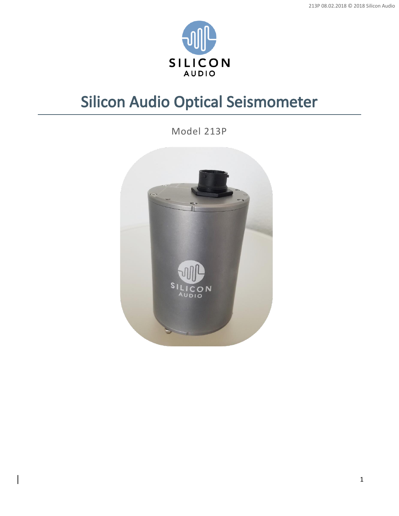

# Silicon Audio Optical Seismometer

Model 213P

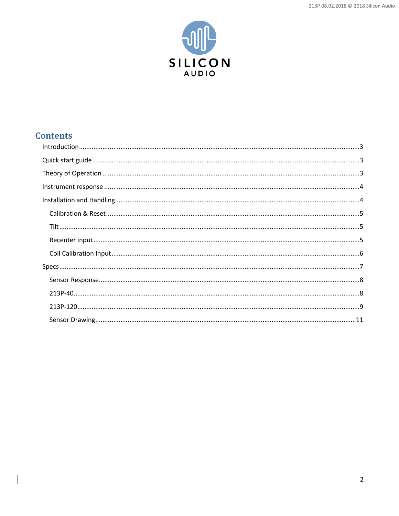

# **Contents**

 $\overline{\phantom{a}}$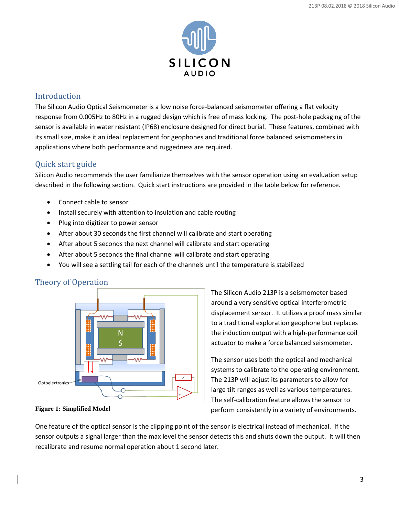

## <span id="page-2-0"></span>Introduction

The Silicon Audio Optical Seismometer is a low noise force-balanced seismometer offering a flat velocity response from 0.005Hz to 80Hz in a rugged design which is free of mass locking. The post-hole packaging of the sensor is available in water resistant (IP68) enclosure designed for direct burial. These features, combined with its small size, make it an ideal replacement for geophones and traditional force balanced seismometers in applications where both performance and ruggedness are required.

# <span id="page-2-1"></span>Quick start guide

Silicon Audio recommends the user familiarize themselves with the sensor operation using an evaluation setup described in the following section. Quick start instructions are provided in the table below for reference.

- Connect cable to sensor
- Install securely with attention to insulation and cable routing
- Plug into digitizer to power sensor
- After about 30 seconds the first channel will calibrate and start operating
- After about 5 seconds the next channel will calibrate and start operating
- After about 5 seconds the final channel will calibrate and start operating
- You will see a settling tail for each of the channels until the temperature is stabilized

# <span id="page-2-2"></span>Theory of Operation



**Figure 1: Simplified Model**

The Silicon Audio 213P is a seismometer based around a very sensitive optical interferometric displacement sensor. It utilizes a proof mass similar to a traditional exploration geophone but replaces the induction output with a high-performance coil actuator to make a force balanced seismometer.

The sensor uses both the optical and mechanical systems to calibrate to the operating environment. The 213P will adjust its parameters to allow for large tilt ranges as well as various temperatures. The self-calibration feature allows the sensor to perform consistently in a variety of environments.

One feature of the optical sensor is the clipping point of the sensor is electrical instead of mechanical. If the sensor outputs a signal larger than the max level the sensor detects this and shuts down the output. It will then recalibrate and resume normal operation about 1 second later.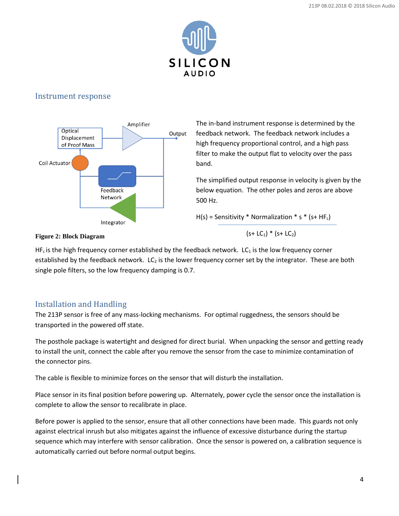

## <span id="page-3-0"></span>Instrument response



The in-band instrument response is determined by the feedback network. The feedback network includes a high frequency proportional control, and a high pass filter to make the output flat to velocity over the pass band.

The simplified output response in velocity is given by the below equation. The other poles and zeros are above 500 Hz.

 $H(s)$  = Sensitivity \* Normalization \* s \* (s+ HF<sub>c</sub>)

 $(s+ LC_1) * (s+ LC_2)$ 

#### **Figure 2: Block Diagram**

 $HF<sub>c</sub>$  is the high frequency corner established by the feedback network. LC<sub>1</sub> is the low frequency corner established by the feedback network.  $LC_2$  is the lower frequency corner set by the integrator. These are both single pole filters, so the low frequency damping is 0.7.

# <span id="page-3-1"></span>Installation and Handling

The 213P sensor is free of any mass-locking mechanisms. For optimal ruggedness, the sensors should be transported in the powered off state.

The posthole package is watertight and designed for direct burial. When unpacking the sensor and getting ready to install the unit, connect the cable after you remove the sensor from the case to minimize contamination of the connector pins.

The cable is flexible to minimize forces on the sensor that will disturb the installation.

Place sensor in its final position before powering up. Alternately, power cycle the sensor once the installation is complete to allow the sensor to recalibrate in place.

Before power is applied to the sensor, ensure that all other connections have been made. This guards not only against electrical inrush but also mitigates against the influence of excessive disturbance during the startup sequence which may interfere with sensor calibration. Once the sensor is powered on, a calibration sequence is automatically carried out before normal output begins.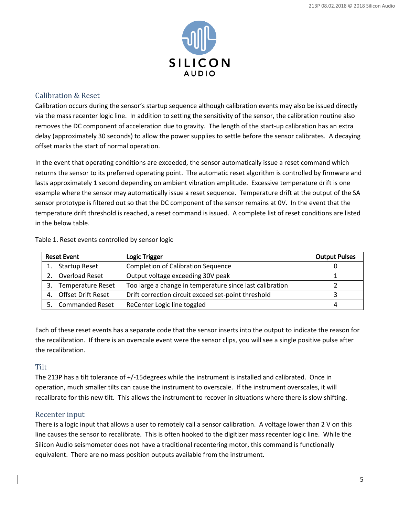

#### <span id="page-4-0"></span>Calibration & Reset

Calibration occurs during the sensor's startup sequence although calibration events may also be issued directly via the mass recenter logic line. In addition to setting the sensitivity of the sensor, the calibration routine also removes the DC component of acceleration due to gravity. The length of the start-up calibration has an extra delay (approximately 30 seconds) to allow the power supplies to settle before the sensor calibrates. A decaying offset marks the start of normal operation.

In the event that operating conditions are exceeded, the sensor automatically issue a reset command which returns the sensor to its preferred operating point. The automatic reset algorithm is controlled by firmware and lasts approximately 1 second depending on ambient vibration amplitude. Excessive temperature drift is one example where the sensor may automatically issue a reset sequence. Temperature drift at the output of the SA sensor prototype is filtered out so that the DC component of the sensor remains at 0V. In the event that the temperature drift threshold is reached, a reset command is issued. A complete list of reset conditions are listed in the below table.

|  | Table 1. Reset events controlled by sensor logic |  |  |
|--|--------------------------------------------------|--|--|
|  |                                                  |  |  |

| <b>Reset Event</b> |                          | <b>Logic Trigger</b>                                     | <b>Output Pulses</b> |
|--------------------|--------------------------|----------------------------------------------------------|----------------------|
|                    | <b>Startup Reset</b>     | <b>Completion of Calibration Sequence</b>                |                      |
|                    | Overload Reset           | Output voltage exceeding 30V peak                        |                      |
| 3.                 | <b>Temperature Reset</b> | Too large a change in temperature since last calibration |                      |
| 4.                 | Offset Drift Reset       | Drift correction circuit exceed set-point threshold      |                      |
|                    | <b>Commanded Reset</b>   | ReCenter Logic line toggled                              |                      |

Each of these reset events has a separate code that the sensor inserts into the output to indicate the reason for the recalibration. If there is an overscale event were the sensor clips, you will see a single positive pulse after the recalibration.

#### <span id="page-4-1"></span>**Tilt**

The 213P has a tilt tolerance of +/-15degrees while the instrument is installed and calibrated. Once in operation, much smaller tilts can cause the instrument to overscale. If the instrument overscales, it will recalibrate for this new tilt. This allows the instrument to recover in situations where there is slow shifting.

#### <span id="page-4-2"></span>Recenter input

There is a logic input that allows a user to remotely call a sensor calibration. A voltage lower than 2 V on this line causes the sensor to recalibrate. This is often hooked to the digitizer mass recenter logic line. While the Silicon Audio seismometer does not have a traditional recentering motor, this command is functionally equivalent. There are no mass position outputs available from the instrument.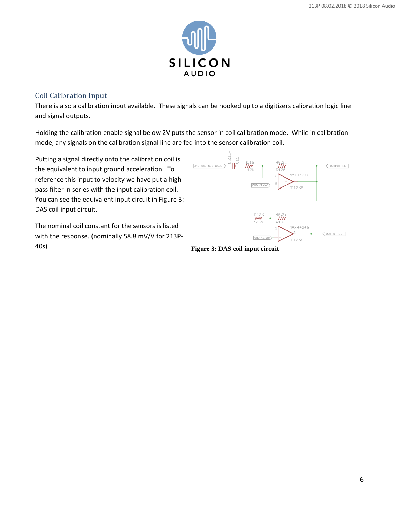

### <span id="page-5-0"></span>Coil Calibration Input

There is also a calibration input available. These signals can be hooked up to a digitizers calibration logic line and signal outputs.

Holding the calibration enable signal below 2V puts the sensor in coil calibration mode. While in calibration mode, any signals on the calibration signal line are fed into the sensor calibration coil.

Putting a signal directly onto the calibration coil is the equivalent to input ground acceleration. To reference this input to velocity we have put a high pass filter in series with the input calibration coil. You can see the equivalent input circuit i[n Figure 3:](#page-5-1)  [DAS coil input circuit.](#page-5-1)

The nominal coil constant for the sensors is listed with the response. (nominally 58.8 mV/V for 213P-40s) **Figure 3: DAS coil input circuit**



<span id="page-5-1"></span>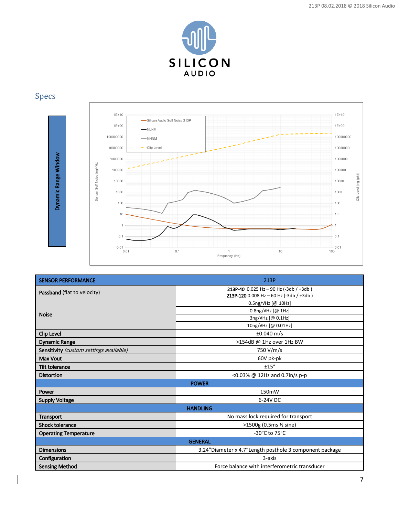

# <span id="page-6-0"></span>Specs



| Dynamic Range Window<br>1000000<br>Sensor Self Noise [ng/vHz]<br>100000<br>10000<br>1000<br>100<br>10<br>$\mathbf{1}$<br>0.1<br>0.01<br>0.01 | 1000000<br>100000<br>Clip Level [ng (pk)]<br>10000<br>1000<br>100<br>10<br>0.1<br>0.01<br>0.1<br>10<br>100<br>$\mathbf{1}$<br>Frequency (Hz) |  |  |
|----------------------------------------------------------------------------------------------------------------------------------------------|----------------------------------------------------------------------------------------------------------------------------------------------|--|--|
| <b>SENSOR PERFORMANCE</b>                                                                                                                    | 213P                                                                                                                                         |  |  |
| Passband (flat to velocity)                                                                                                                  | 213P-40 $0.025$ Hz - 90 Hz (-3db / +3db)<br>213P-120 0.008 Hz - 60 Hz (-3db / +3db)                                                          |  |  |
|                                                                                                                                              | 0.5ng/VHz [@ 10Hz]                                                                                                                           |  |  |
| <b>Noise</b>                                                                                                                                 | 0.8ng/VHz [@ 1Hz]                                                                                                                            |  |  |
|                                                                                                                                              | 3ng/vHz [@ 0.1Hz]                                                                                                                            |  |  |
|                                                                                                                                              | 10ng/VHz [@ 0.01Hz]<br>$±0.040$ m/s                                                                                                          |  |  |
| <b>Clip Level</b>                                                                                                                            | >154dB @ 1Hz over 1Hz BW                                                                                                                     |  |  |
| <b>Dynamic Range</b><br>Sensitivity (custom settings available)                                                                              | 750 V/m/s                                                                                                                                    |  |  |
| <b>Max Vout</b>                                                                                                                              | 60V pk-pk                                                                                                                                    |  |  |
| <b>Tilt tolerance</b>                                                                                                                        | ±15°                                                                                                                                         |  |  |
| <b>Distortion</b>                                                                                                                            | <0.03% @ 12Hz and 0.7in/s p-p                                                                                                                |  |  |
|                                                                                                                                              | <b>POWER</b>                                                                                                                                 |  |  |
| Power                                                                                                                                        | 150mW                                                                                                                                        |  |  |
| <b>Supply Voltage</b>                                                                                                                        | 6-24V DC                                                                                                                                     |  |  |
|                                                                                                                                              | <b>HANDLING</b>                                                                                                                              |  |  |
| <b>Transport</b>                                                                                                                             | No mass lock required for transport                                                                                                          |  |  |
| <b>Shock tolerance</b>                                                                                                                       | >1500g (0.5ms 1/2 sine)                                                                                                                      |  |  |
| <b>Operating Temperature</b>                                                                                                                 | -30°C to 75°C                                                                                                                                |  |  |
|                                                                                                                                              | <b>GENERAL</b>                                                                                                                               |  |  |
| <b>Dimensions</b>                                                                                                                            | 3.24"Diameter x 4.7"Length posthole 3 component package                                                                                      |  |  |
| Configuration                                                                                                                                | 3-axis                                                                                                                                       |  |  |
| <b>Sensing Method</b>                                                                                                                        | Force balance with interferometric transducer                                                                                                |  |  |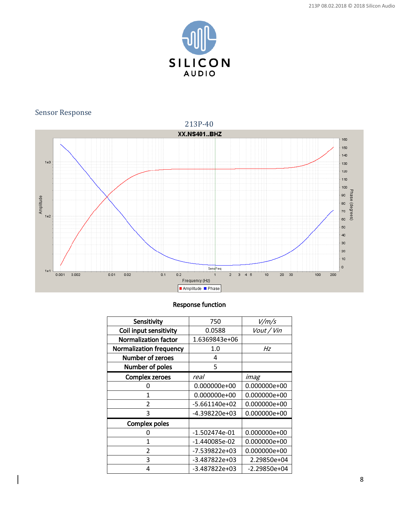

# <span id="page-7-0"></span>Sensor Response

<span id="page-7-1"></span>

#### Response function

| Sensitivity                    | 750             | V/m/s          |
|--------------------------------|-----------------|----------------|
| Coil input sensitivity         | 0.0588          | Vout / Vin     |
| <b>Normalization factor</b>    | 1.6369843e+06   |                |
| <b>Normalization frequency</b> | 1.0             | Hz             |
| Number of zeroes               | 4               |                |
| Number of poles                | 5               |                |
| <b>Complex zeroes</b>          | real            | imag           |
| 0                              | 0.000000e+00    | 0.000000e+00   |
| 1                              | 0.000000e+00    | 0.000000e+00   |
| $\mathfrak{p}$                 | $-5.661140e+02$ | 0.000000e+00   |
| 3                              | -4.398220e+03   | 0.000000e+00   |
| <b>Complex poles</b>           |                 |                |
| 0                              | $-1.502474e-01$ | 0.000000e+00   |
| 1                              | -1.440085e-02   | 0.000000e+00   |
| $\mathfrak{p}$                 | -7.539822e+03   | 0.000000e+00   |
| 3                              | -3.487822e+03   | 2.29850e+04    |
| 4                              | -3.487822e+03   | $-2.29850e+04$ |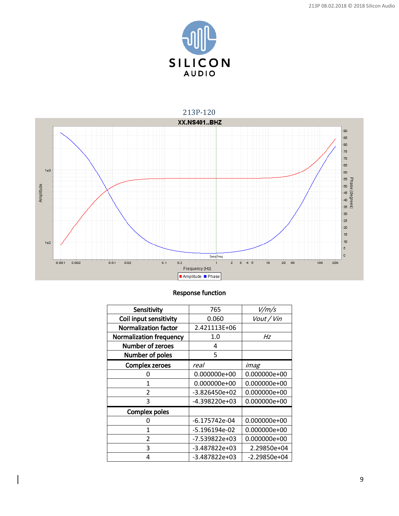

<span id="page-8-0"></span>

# Response function

| Sensitivity                    | 765             | V/m/s          |  |
|--------------------------------|-----------------|----------------|--|
| Coil input sensitivity         | 0.060           | Vout / Vin     |  |
| <b>Normalization factor</b>    | 2.421113E+06    |                |  |
| <b>Normalization frequency</b> | 1.0             | Hz             |  |
| <b>Number of zeroes</b>        | 4               |                |  |
| Number of poles                | 5               |                |  |
| <b>Complex zeroes</b>          | real            | imag           |  |
| 0                              | 0.000000e+00    | 0.000000e+00   |  |
| 1                              | 0.000000e+00    | 0.000000e+00   |  |
| $\overline{2}$                 | $-3.826450e+02$ | 0.000000e+00   |  |
| 3                              | -4.398220e+03   | 0.000000e+00   |  |
| <b>Complex poles</b>           |                 |                |  |
| 0                              | -6.175742e-04   | 0.000000e+00   |  |
| 1                              | -5.196194e-02   | 0.000000e+00   |  |
| $\mathfrak{p}$                 | -7.539822e+03   | 0.000000e+00   |  |
| 3                              | -3.487822e+03   | 2.29850e+04    |  |
| 4                              | -3.487822e+03   | $-2.29850e+04$ |  |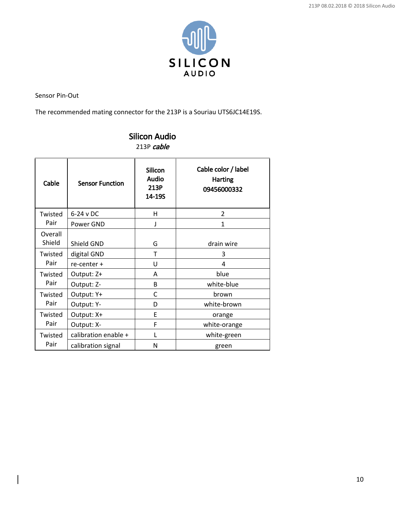

Sensor Pin-Out

The recommended mating connector for the 213P is a Souriau UTS6JC14E19S.

| Cable             | <b>Sensor Function</b> | <b>Silicon</b><br>Audio<br>213P<br>14-19S | Cable color / label<br><b>Harting</b><br>09456000332 |
|-------------------|------------------------|-------------------------------------------|------------------------------------------------------|
| Twisted           | $6-24$ v DC            | н                                         | $\overline{2}$                                       |
| Pair              | Power GND              |                                           | $\mathbf{1}$                                         |
| Overall<br>Shield | Shield GND             | G                                         | drain wire                                           |
| Twisted<br>Pair   | digital GND            | T                                         | 3                                                    |
|                   | re-center +            | U                                         | 4                                                    |
| Twisted<br>Pair   | Output: Z+             | A                                         | blue                                                 |
|                   | Output: Z-             | B                                         | white-blue                                           |
| Twisted<br>Pair   | Output: Y+             | C                                         | brown                                                |
|                   | Output: Y-             | D                                         | white-brown                                          |
| Twisted<br>Pair   | Output: X+             | E                                         | orange                                               |
|                   | Output: X-             | F                                         | white-orange                                         |
| Twisted           | calibration enable +   | L                                         | white-green                                          |
| Pair              | calibration signal     | N                                         | green                                                |

# Silicon Audio 213P cable